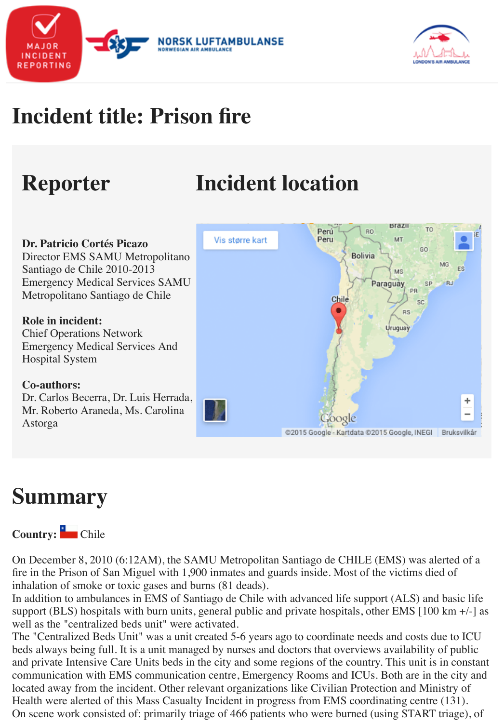# **Reporter Incident location**

**Brazil TO** Perú **RO** Vis større kart Peru MT **Dr. Patricio Cortés Picazo** GO Director EMS SAMU Metropolitano Bolivia Santiago de Chile 2010-2013 **MS** Emergency Medical Services SAMU Paraguay SP PR Metropolitano Santiago de Chile Chile **RS Role in incident:**  Uruguay Chief Operations Network Emergency Medical Services And Hospital System **Co-authors:** Dr. Carlos Becerra, Dr. Luis Herrada, Mr. Roberto Araneda, Ms. Carolina Google Astorga @2015 Google - Kartdata @2015 Google, INEGI

## **Summary**

#### **Country:** Chile

On December 8, 2010 (6:12AM), the SAMU Metropolitan Santiago de CHILE (EMS) was all fire in the Prison of San Miguel with 1,900 inmates and guards inside. Most of the victims die inhalation of smoke or toxic gases and burns (81 deads).

In addition to ambulances in EMS of Santiago de Chile with advanced life support (ALS) and support (BLS) hospitals with burn units, general public and private hospitals, other EMS [100] well as the "centralized beds unit" were activated.

The "Centralized Beds Unit" was a unit created 5-6 years ago to coordinate needs and costs d beds always being full. It is a unit managed by nurses and doctors that overviews availability and private Intensive Care Units beds in the city and some regions of the country. This unit is communication with EMS communication centre, Emergency Rooms and ICUs. Both are in located away from the incident. Other relevant organizations like Civilian Protection and Min Health were alerted of this Mass Casualty Incident in progress from EMS coordinating centre On scene work consisted of: primarily triage of 466 patients who were burned (using START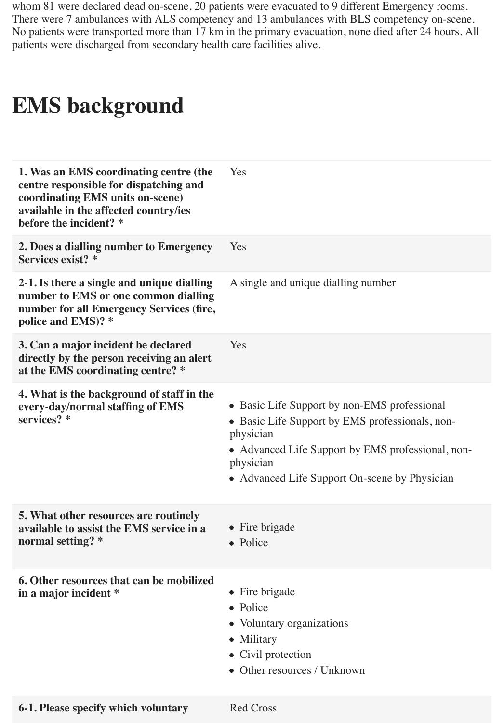whom 81 were declared dead on-scene, 20 patients were evacuated to 9 different Emergency rooms. There were 7 ambulances with ALS competency and 13 ambulances with BLS competency on-scene. No patients were transported more than 17 km in the primary evacuation, none died after 24 hours. All patients were discharged from secondary health care facilities alive.

#### **EMS background**

| 1. Was an EMS coordinating centre (the<br>centre responsible for dispatching and<br>coordinating EMS units on-scene)<br>available in the affected country/ies<br>before the incident? * | Yes                                                                                                                                                                                                                             |
|-----------------------------------------------------------------------------------------------------------------------------------------------------------------------------------------|---------------------------------------------------------------------------------------------------------------------------------------------------------------------------------------------------------------------------------|
| 2. Does a dialling number to Emergency<br>Services exist? *                                                                                                                             | Yes                                                                                                                                                                                                                             |
| 2-1. Is there a single and unique dialling<br>number to EMS or one common dialling<br>number for all Emergency Services (fire,<br>police and EMS)? *                                    | A single and unique dialling number                                                                                                                                                                                             |
| 3. Can a major incident be declared<br>directly by the person receiving an alert<br>at the EMS coordinating centre? *                                                                   | Yes                                                                                                                                                                                                                             |
| 4. What is the background of staff in the<br>every-day/normal staffing of EMS<br>services? *                                                                                            | • Basic Life Support by non-EMS professional<br>• Basic Life Support by EMS professionals, non-<br>physician<br>• Advanced Life Support by EMS professional, non-<br>physician<br>• Advanced Life Support On-scene by Physician |
| <b>5. What other resources are routinely</b><br>available to assist the EMS service in a<br>normal setting? *                                                                           | • Fire brigade<br>• Police                                                                                                                                                                                                      |
| 6. Other resources that can be mobilized<br>in a major incident *                                                                                                                       | • Fire brigade<br>• Police<br>• Voluntary organizations<br>• Military<br>• Civil protection<br>• Other resources / Unknown                                                                                                      |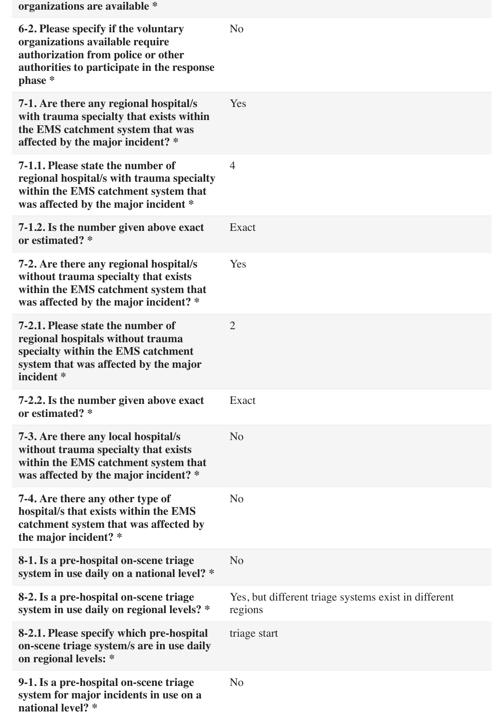| organizations are available *                                                                                                                                          |                                                                 |
|------------------------------------------------------------------------------------------------------------------------------------------------------------------------|-----------------------------------------------------------------|
| 6-2. Please specify if the voluntary<br>organizations available require<br>authorization from police or other<br>authorities to participate in the response<br>phase * | N <sub>o</sub>                                                  |
| 7-1. Are there any regional hospital/s<br>with trauma specialty that exists within<br>the EMS catchment system that was<br>affected by the major incident? *           | Yes                                                             |
| 7-1.1. Please state the number of<br>regional hospital/s with trauma specialty<br>within the EMS catchment system that<br>was affected by the major incident *         | $\overline{4}$                                                  |
| 7-1.2. Is the number given above exact<br>or estimated? *                                                                                                              | Exact                                                           |
| 7-2. Are there any regional hospital/s<br>without trauma specialty that exists<br>within the EMS catchment system that<br>was affected by the major incident? *        | Yes                                                             |
| 7-2.1. Please state the number of<br>regional hospitals without trauma<br>specialty within the EMS catchment<br>system that was affected by the major<br>incident *    | $\overline{2}$                                                  |
| 7-2.2. Is the number given above exact<br>or estimated? *                                                                                                              | Exact                                                           |
| 7-3. Are there any local hospital/s<br>without trauma specialty that exists<br>within the EMS catchment system that<br>was affected by the major incident? *           | N <sub>o</sub>                                                  |
| 7-4. Are there any other type of<br>hospital/s that exists within the EMS<br>catchment system that was affected by<br>the major incident? *                            | N <sub>o</sub>                                                  |
| 8-1. Is a pre-hospital on-scene triage<br>system in use daily on a national level? *                                                                                   | N <sub>o</sub>                                                  |
| 8-2. Is a pre-hospital on-scene triage<br>system in use daily on regional levels? *                                                                                    | Yes, but different triage systems exist in different<br>regions |
| 8-2.1. Please specify which pre-hospital<br>on-scene triage system/s are in use daily<br>on regional levels: *                                                         | triage start                                                    |
| 9-1. Is a pre-hospital on-scene triage<br>system for major incidents in use on a<br>national level? *                                                                  | N <sub>o</sub>                                                  |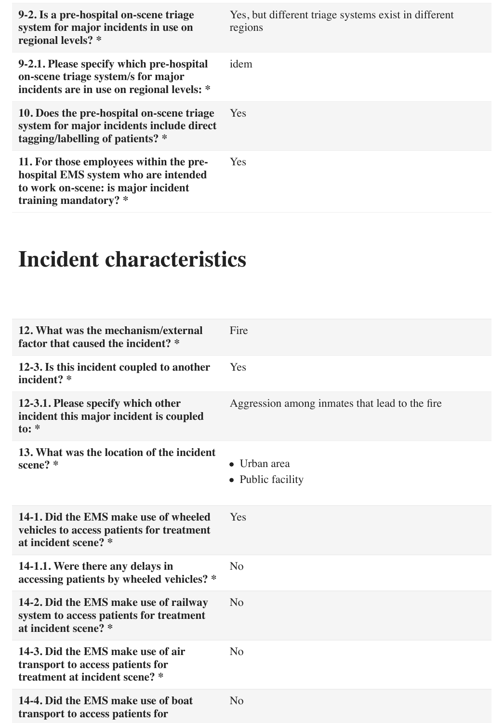| 9-2. Is a pre-hospital on-scene triage<br>system for major incidents in use on<br>regional levels? *                                            | Yes, but different triage systems exist in different<br>regions |
|-------------------------------------------------------------------------------------------------------------------------------------------------|-----------------------------------------------------------------|
| 9-2.1. Please specify which pre-hospital<br>on-scene triage system/s for major<br>incidents are in use on regional levels: *                    | idem                                                            |
| 10. Does the pre-hospital on-scene triage<br>system for major incidents include direct<br>tagging/labelling of patients? *                      | Yes                                                             |
| 11. For those employees within the pre-<br>hospital EMS system who are intended<br>to work on-scene: is major incident<br>training mandatory? * | <b>Yes</b>                                                      |

#### **Incident characteristics**

| 12. What was the mechanism/external<br>factor that caused the incident? *                                  | Fire                                            |
|------------------------------------------------------------------------------------------------------------|-------------------------------------------------|
| 12-3. Is this incident coupled to another<br>incident? *                                                   | Yes                                             |
| 12-3.1. Please specify which other<br>incident this major incident is coupled<br>to: $*$                   | Aggression among inmates that lead to the fire. |
| 13. What was the location of the incident<br>scene? *                                                      | $\bullet$ Urban area<br>• Public facility       |
| 14-1. Did the EMS make use of wheeled<br>vehicles to access patients for treatment<br>at incident scene? * | Yes                                             |
| 14-1.1. Were there any delays in<br>accessing patients by wheeled vehicles? *                              | N <sub>o</sub>                                  |
| 14-2. Did the EMS make use of railway<br>system to access patients for treatment<br>at incident scene? *   | N <sub>o</sub>                                  |
| 14-3. Did the EMS make use of air<br>transport to access patients for<br>treatment at incident scene? *    | N <sub>o</sub>                                  |
| 14-4. Did the EMS make use of boat<br>transport to access patients for                                     | N <sub>o</sub>                                  |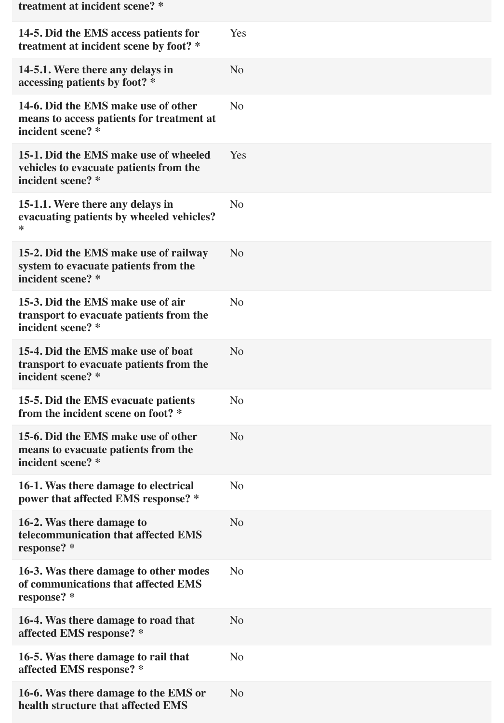| treatment at incident scene? *                                                                        |                |
|-------------------------------------------------------------------------------------------------------|----------------|
| 14-5. Did the EMS access patients for<br>treatment at incident scene by foot? *                       | Yes            |
| 14-5.1. Were there any delays in<br>accessing patients by foot? *                                     | N <sub>o</sub> |
| 14-6. Did the EMS make use of other<br>means to access patients for treatment at<br>incident scene? * | N <sub>o</sub> |
| 15-1. Did the EMS make use of wheeled<br>vehicles to evacuate patients from the<br>incident scene? *  | Yes            |
| 15-1.1. Were there any delays in<br>evacuating patients by wheeled vehicles?<br>∗                     | N <sub>o</sub> |
| 15-2. Did the EMS make use of railway<br>system to evacuate patients from the<br>incident scene? *    | N <sub>o</sub> |
| 15-3. Did the EMS make use of air<br>transport to evacuate patients from the<br>incident scene? *     | N <sub>o</sub> |
| 15-4. Did the EMS make use of boat<br>transport to evacuate patients from the<br>incident scene? *    | N <sub>o</sub> |
| 15-5. Did the EMS evacuate patients<br>from the incident scene on foot? *                             | N <sub>o</sub> |
| 15-6. Did the EMS make use of other<br>means to evacuate patients from the<br>incident scene? *       | N <sub>o</sub> |
| 16-1. Was there damage to electrical<br>power that affected EMS response? *                           | N <sub>o</sub> |
| 16-2. Was there damage to<br>telecommunication that affected EMS<br>response? *                       | N <sub>o</sub> |
| 16-3. Was there damage to other modes<br>of communications that affected EMS<br>response? *           | N <sub>o</sub> |
| 16-4. Was there damage to road that<br>affected EMS response? *                                       | N <sub>o</sub> |
| 16-5. Was there damage to rail that<br>affected EMS response? *                                       | N <sub>o</sub> |
| 16-6. Was there damage to the EMS or<br>health structure that affected EMS                            | N <sub>o</sub> |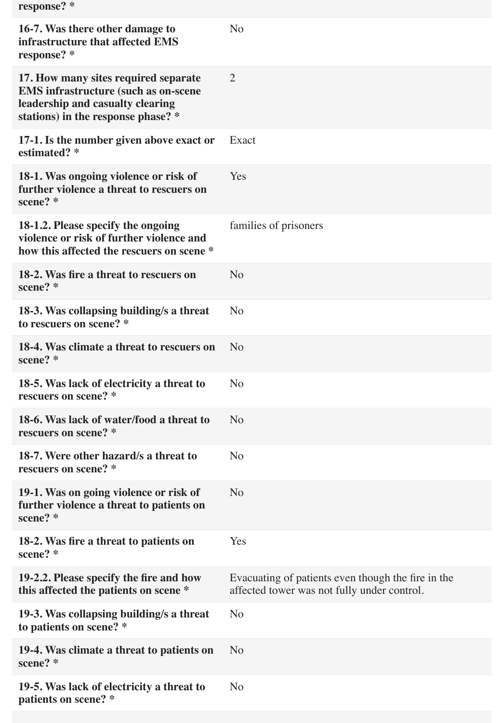| response? * |  |
|-------------|--|
|-------------|--|

| 16-7. Was there other damage to<br>infrastructure that affected EMS<br>response? *                                                                            | N <sub>o</sub>                                                                                    |
|---------------------------------------------------------------------------------------------------------------------------------------------------------------|---------------------------------------------------------------------------------------------------|
| 17. How many sites required separate<br><b>EMS</b> infrastructure (such as on-scene<br>leadership and casualty clearing<br>stations) in the response phase? * | 2                                                                                                 |
| 17-1. Is the number given above exact or<br>estimated? *                                                                                                      | Exact                                                                                             |
| 18-1. Was ongoing violence or risk of<br>further violence a threat to rescuers on<br>scene? *                                                                 | Yes                                                                                               |
| 18-1.2. Please specify the ongoing<br>violence or risk of further violence and<br>how this affected the rescuers on scene *                                   | families of prisoners                                                                             |
| 18-2. Was fire a threat to rescuers on<br>scene? *                                                                                                            | N <sub>o</sub>                                                                                    |
| 18-3. Was collapsing building/s a threat<br>to rescuers on scene? *                                                                                           | N <sub>o</sub>                                                                                    |
| 18-4. Was climate a threat to rescuers on<br>scene? *                                                                                                         | N <sub>o</sub>                                                                                    |
| 18-5. Was lack of electricity a threat to<br>rescuers on scene? *                                                                                             | N <sub>o</sub>                                                                                    |
| 18-6. Was lack of water/food a threat to<br>rescuers on scene? *                                                                                              | N <sub>o</sub>                                                                                    |
| 18-7. Were other hazard/s a threat to<br>rescuers on scene? *                                                                                                 | N <sub>o</sub>                                                                                    |
| 19-1. Was on going violence or risk of<br>further violence a threat to patients on<br>scene? *                                                                | N <sub>o</sub>                                                                                    |
| 18-2. Was fire a threat to patients on<br>scene? *                                                                                                            | Yes                                                                                               |
| 19-2.2. Please specify the fire and how<br>this affected the patients on scene *                                                                              | Evacuating of patients even though the fire in the<br>affected tower was not fully under control. |
| 19-3. Was collapsing building/s a threat<br>to patients on scene? *                                                                                           | N <sub>o</sub>                                                                                    |
| 19-4. Was climate a threat to patients on<br>scene? *                                                                                                         | N <sub>o</sub>                                                                                    |
| 19-5. Was lack of electricity a threat to<br>patients on scene? *                                                                                             | N <sub>o</sub>                                                                                    |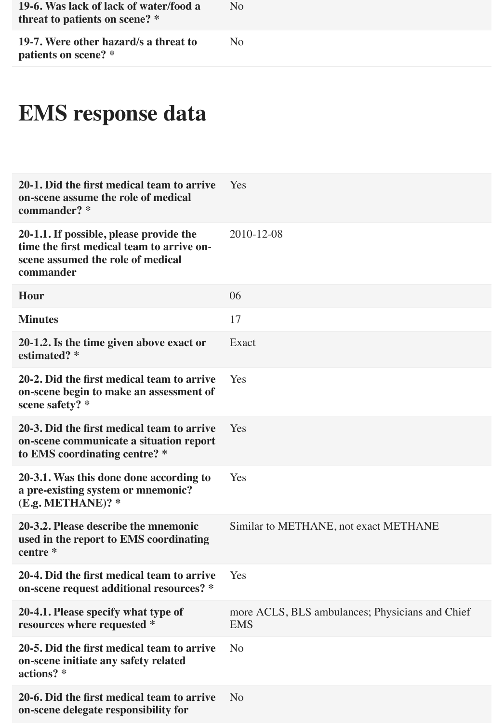| 19-6. Was lack of lack of water/food a<br>threat to patients on scene? * | $N_{\Omega}$ |
|--------------------------------------------------------------------------|--------------|
| 19-7. Were other hazard/s a threat to<br>patients on scene? *            | No           |

# **EMS response data**

| 20-1. Did the first medical team to arrive<br>on-scene assume the role of medical<br>commander? *                                      | Yes                                                           |
|----------------------------------------------------------------------------------------------------------------------------------------|---------------------------------------------------------------|
| 20-1.1. If possible, please provide the<br>time the first medical team to arrive on-<br>scene assumed the role of medical<br>commander | 2010-12-08                                                    |
| Hour                                                                                                                                   | 06                                                            |
| <b>Minutes</b>                                                                                                                         | 17                                                            |
| 20-1.2. Is the time given above exact or<br>estimated? *                                                                               | Exact                                                         |
| 20-2. Did the first medical team to arrive<br>on-scene begin to make an assessment of<br>scene safety? *                               | Yes                                                           |
| 20-3. Did the first medical team to arrive<br>on-scene communicate a situation report<br>to EMS coordinating centre? *                 | Yes                                                           |
| 20-3.1. Was this done done according to<br>a pre-existing system or mnemonic?<br>(E.g. METHOD?                                         | Yes                                                           |
| 20-3.2. Please describe the mnemonic<br>used in the report to EMS coordinating<br>centre *                                             | Similar to METHANE, not exact METHANE                         |
| 20-4. Did the first medical team to arrive<br>on-scene request additional resources? *                                                 | Yes                                                           |
| 20-4.1. Please specify what type of<br>resources where requested *                                                                     | more ACLS, BLS ambulances; Physicians and Chief<br><b>EMS</b> |
| 20-5. Did the first medical team to arrive<br>on-scene initiate any safety related<br>actions? *                                       | N <sub>0</sub>                                                |
| 20-6. Did the first medical team to arrive<br>on-scene delegate responsibility for                                                     | N <sub>o</sub>                                                |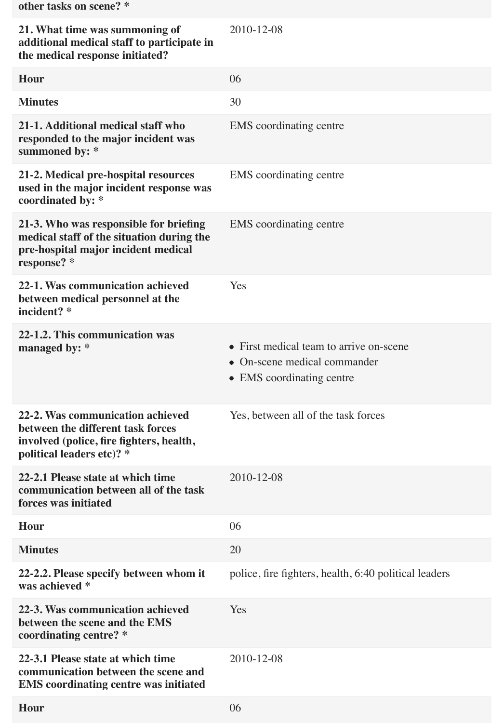| other tasks on scene? *                                                                                                                        |                                                                                                      |
|------------------------------------------------------------------------------------------------------------------------------------------------|------------------------------------------------------------------------------------------------------|
| 21. What time was summoning of<br>additional medical staff to participate in<br>the medical response initiated?                                | 2010-12-08                                                                                           |
| Hour                                                                                                                                           | 06                                                                                                   |
| <b>Minutes</b>                                                                                                                                 | 30                                                                                                   |
| 21-1. Additional medical staff who<br>responded to the major incident was<br>summoned by: *                                                    | <b>EMS</b> coordinating centre                                                                       |
| 21-2. Medical pre-hospital resources<br>used in the major incident response was<br>coordinated by: *                                           | <b>EMS</b> coordinating centre                                                                       |
| 21-3. Who was responsible for briefing<br>medical staff of the situation during the<br>pre-hospital major incident medical<br>response? *      | <b>EMS</b> coordinating centre                                                                       |
| 22-1. Was communication achieved<br>between medical personnel at the<br>incident? *                                                            | Yes                                                                                                  |
| 22-1.2. This communication was<br>managed by: $*$                                                                                              | • First medical team to arrive on-scene<br>• On-scene medical commander<br>• EMS coordinating centre |
| 22-2. Was communication achieved<br>between the different task forces<br>involved (police, fire fighters, health,<br>political leaders etc)? * | Yes, between all of the task forces                                                                  |
| 22-2.1 Please state at which time<br>communication between all of the task<br>forces was initiated                                             | 2010-12-08                                                                                           |
| Hour                                                                                                                                           | 06                                                                                                   |
| <b>Minutes</b>                                                                                                                                 | 20                                                                                                   |
| 22-2.2. Please specify between whom it<br>was achieved *                                                                                       | police, fire fighters, health, 6:40 political leaders                                                |
| 22-3. Was communication achieved<br>between the scene and the EMS<br>coordinating centre? *                                                    | Yes                                                                                                  |
| 22-3.1 Please state at which time<br>communication between the scene and<br><b>EMS</b> coordinating centre was initiated                       | 2010-12-08                                                                                           |
| <b>Hour</b>                                                                                                                                    | 06                                                                                                   |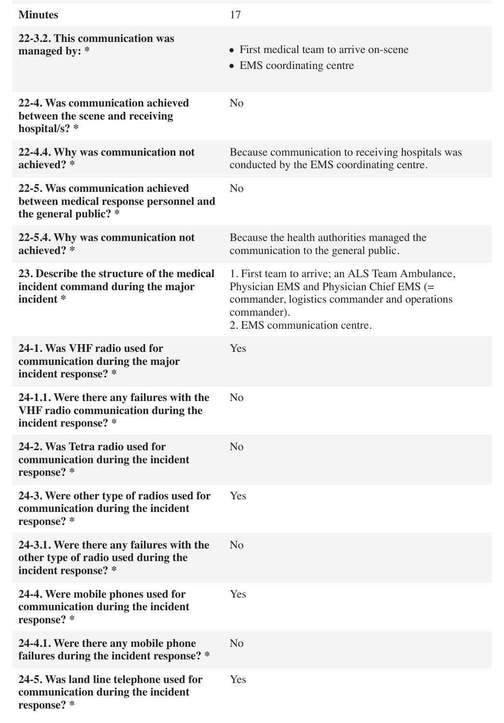| <b>Minutes</b>                                                                                                | 17                                                                                                                                                                                          |
|---------------------------------------------------------------------------------------------------------------|---------------------------------------------------------------------------------------------------------------------------------------------------------------------------------------------|
| 22-3.2. This communication was<br>managed by: *                                                               | • First medical team to arrive on-scene<br>• EMS coordinating centre                                                                                                                        |
| 22-4. Was communication achieved<br>between the scene and receiving<br>hospital/s? *                          | N <sub>o</sub>                                                                                                                                                                              |
| 22-4.4. Why was communication not<br>achieved? *                                                              | Because communication to receiving hospitals was<br>conducted by the EMS coordinating centre.                                                                                               |
| 22-5. Was communication achieved<br>between medical response personnel and<br>the general public? *           | N <sub>o</sub>                                                                                                                                                                              |
| 22-5.4. Why was communication not<br>achieved? *                                                              | Because the health authorities managed the<br>communication to the general public.                                                                                                          |
| 23. Describe the structure of the medical<br>incident command during the major<br>incident *                  | 1. First team to arrive; an ALS Team Ambulance,<br>Physician EMS and Physician Chief EMS (=<br>commander, logistics commander and operations<br>commander).<br>2. EMS communication centre. |
| 24-1. Was VHF radio used for<br>communication during the major<br>incident response? *                        | Yes                                                                                                                                                                                         |
| 24-1.1. Were there any failures with the<br><b>VHF radio communication during the</b><br>incident response? * | N <sub>o</sub>                                                                                                                                                                              |
| 24-2. Was Tetra radio used for<br>communication during the incident<br>response? *                            | N <sub>o</sub>                                                                                                                                                                              |
| 24-3. Were other type of radios used for<br>communication during the incident<br>response? *                  | Yes                                                                                                                                                                                         |
| 24-3.1. Were there any failures with the<br>other type of radio used during the<br>incident response? *       | N <sub>o</sub>                                                                                                                                                                              |
| 24-4. Were mobile phones used for<br>communication during the incident<br>response? *                         | Yes                                                                                                                                                                                         |
| 24-4.1. Were there any mobile phone<br>failures during the incident response? *                               | N <sub>o</sub>                                                                                                                                                                              |
| 24-5. Was land line telephone used for<br>communication during the incident<br>response? *                    | Yes                                                                                                                                                                                         |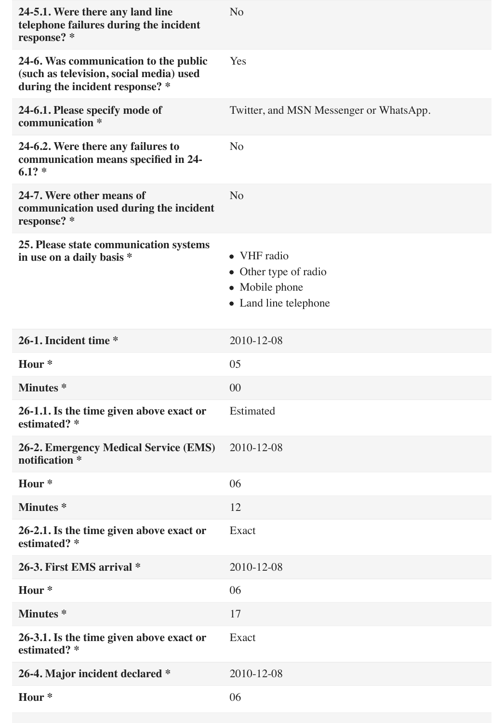| 24-5.1. Were there any land line<br>telephone failures during the incident<br>response? *                           | N <sub>o</sub>                                                                  |
|---------------------------------------------------------------------------------------------------------------------|---------------------------------------------------------------------------------|
| 24-6. Was communication to the public<br>(such as television, social media) used<br>during the incident response? * | Yes                                                                             |
| 24-6.1. Please specify mode of<br>communication *                                                                   | Twitter, and MSN Messenger or WhatsApp.                                         |
| 24-6.2. Were there any failures to<br>communication means specified in 24-<br>$6.1? *$                              | N <sub>o</sub>                                                                  |
| 24-7. Were other means of<br>communication used during the incident<br>response? *                                  | N <sub>o</sub>                                                                  |
| 25. Please state communication systems<br>in use on a daily basis *                                                 | • VHF radio<br>• Other type of radio<br>• Mobile phone<br>• Land line telephone |
| 26-1. Incident time *                                                                                               | 2010-12-08                                                                      |
| Hour <sup>*</sup>                                                                                                   | 05                                                                              |
| <b>Minutes</b> *                                                                                                    | 00                                                                              |
| 26-1.1. Is the time given above exact or<br>estimated? *                                                            | Estimated                                                                       |
| <b>26-2. Emergency Medical Service (EMS)</b><br>notification *                                                      | 2010-12-08                                                                      |
| Hour <sup>*</sup>                                                                                                   | 06                                                                              |
| <b>Minutes</b> *                                                                                                    | 12                                                                              |
| 26-2.1. Is the time given above exact or<br>estimated? *                                                            | Exact                                                                           |
| 26-3. First EMS arrival *                                                                                           | 2010-12-08                                                                      |
| Hour <sup>*</sup>                                                                                                   | 06                                                                              |
| <b>Minutes</b> *                                                                                                    | 17                                                                              |
| 26-3.1. Is the time given above exact or<br>estimated? *                                                            | Exact                                                                           |
| 26-4. Major incident declared *                                                                                     | 2010-12-08                                                                      |
| Hour <sup>*</sup>                                                                                                   | 06                                                                              |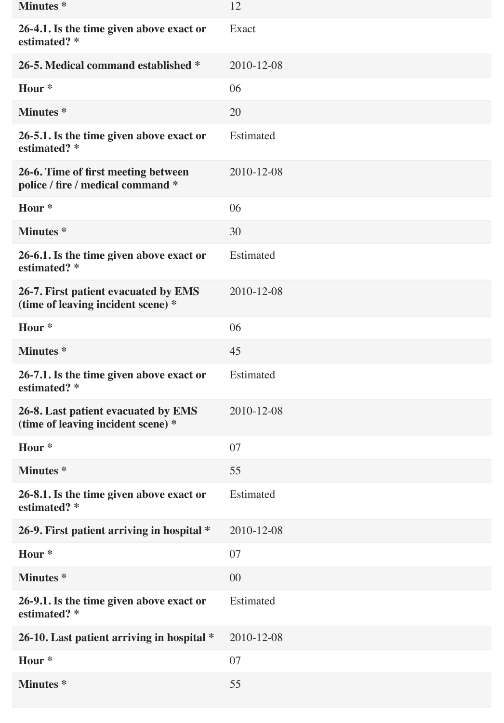| <b>Minutes</b> *                                                           | 12               |
|----------------------------------------------------------------------------|------------------|
| 26-4.1. Is the time given above exact or<br>estimated? *                   | Exact            |
| 26-5. Medical command established *                                        | 2010-12-08       |
| Hour <sup>*</sup>                                                          | 06               |
| <b>Minutes</b> *                                                           | 20               |
| 26-5.1. Is the time given above exact or<br>estimated? *                   | <b>Estimated</b> |
| 26-6. Time of first meeting between<br>police / fire / medical command *   | 2010-12-08       |
| Hour <sup>*</sup>                                                          | 06               |
| <b>Minutes</b> *                                                           | 30               |
| 26-6.1. Is the time given above exact or<br>estimated? *                   | Estimated        |
| 26-7. First patient evacuated by EMS<br>(time of leaving incident scene) * | 2010-12-08       |
| Hour <sup>*</sup>                                                          | 06               |
| <b>Minutes</b> *                                                           | 45               |
| 26-7.1. Is the time given above exact or<br>estimated? *                   | Estimated        |
| 26-8. Last patient evacuated by EMS<br>(time of leaving incident scene) *  | 2010-12-08       |
| Hour <sup>*</sup>                                                          | 07               |
| <b>Minutes*</b>                                                            | 55               |
| 26-8.1. Is the time given above exact or<br>estimated? *                   | Estimated        |
| 26-9. First patient arriving in hospital *                                 | 2010-12-08       |
| Hour <sup>*</sup>                                                          | 07               |
| <b>Minutes</b> *                                                           | 00               |
| 26-9.1. Is the time given above exact or<br>estimated? *                   | Estimated        |
| 26-10. Last patient arriving in hospital *                                 | 2010-12-08       |
| Hour <sup>*</sup>                                                          | 07               |
| <b>Minutes</b> *                                                           | 55               |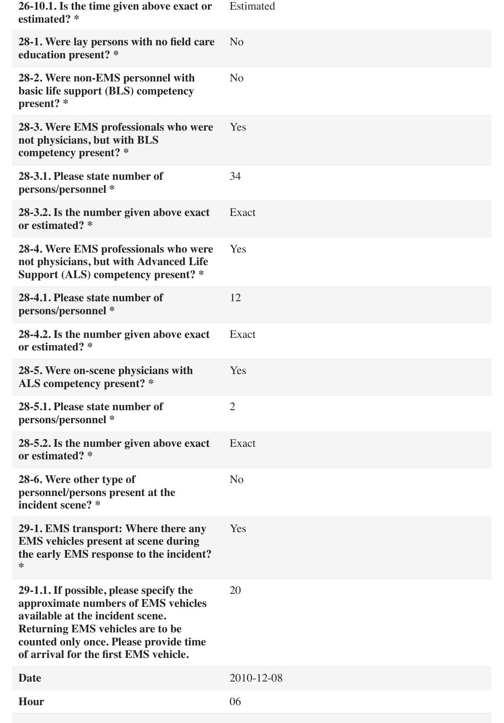| 26-10.1. Is the time given above exact or<br>estimated? *                                                                                                                                                                                        | Estimated      |
|--------------------------------------------------------------------------------------------------------------------------------------------------------------------------------------------------------------------------------------------------|----------------|
| 28-1. Were lay persons with no field care<br>education present? *                                                                                                                                                                                | N <sub>o</sub> |
| 28-2. Were non-EMS personnel with<br>basic life support (BLS) competency<br>present? *                                                                                                                                                           | N <sub>o</sub> |
| 28-3. Were EMS professionals who were<br>not physicians, but with BLS<br>competency present? *                                                                                                                                                   | Yes            |
| 28-3.1. Please state number of<br>persons/personnel *                                                                                                                                                                                            | 34             |
| 28-3.2. Is the number given above exact<br>or estimated? *                                                                                                                                                                                       | Exact          |
| 28-4. Were EMS professionals who were<br>not physicians, but with Advanced Life<br>Support (ALS) competency present? *                                                                                                                           | Yes            |
| 28-4.1. Please state number of<br>persons/personnel *                                                                                                                                                                                            | 12             |
| 28-4.2. Is the number given above exact<br>or estimated? *                                                                                                                                                                                       | Exact          |
| 28-5. Were on-scene physicians with<br>ALS competency present? *                                                                                                                                                                                 | Yes            |
| 28-5.1. Please state number of<br>persons/personnel *                                                                                                                                                                                            | $\overline{2}$ |
| 28-5.2. Is the number given above exact<br>or estimated? *                                                                                                                                                                                       | Exact          |
| 28-6. Were other type of<br>personnel/persons present at the<br>incident scene? *                                                                                                                                                                | N <sub>o</sub> |
| 29-1. EMS transport: Where there any<br><b>EMS</b> vehicles present at scene during<br>the early EMS response to the incident?<br>∗                                                                                                              | Yes            |
| 29-1.1. If possible, please specify the<br>approximate numbers of EMS vehicles<br>available at the incident scene.<br><b>Returning EMS vehicles are to be</b><br>counted only once. Please provide time<br>of arrival for the first EMS vehicle. | 20             |
| <b>Date</b>                                                                                                                                                                                                                                      | 2010-12-08     |
| <b>Hour</b>                                                                                                                                                                                                                                      | 06             |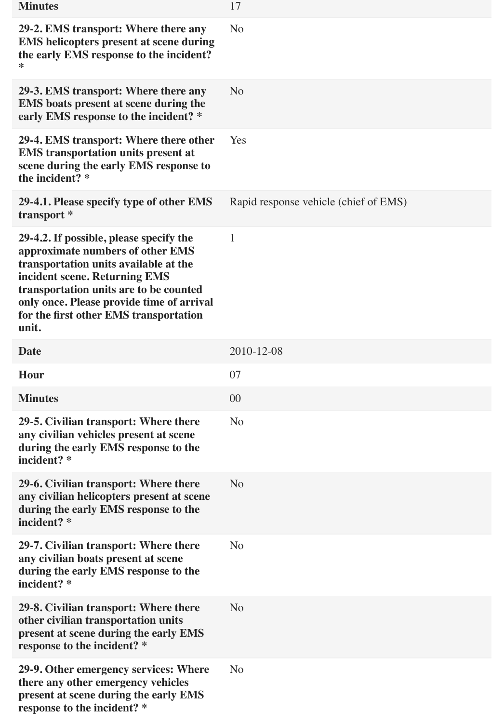| <b>Minutes</b>                                                                                                                                                                                                                                                                                  | 17                                    |
|-------------------------------------------------------------------------------------------------------------------------------------------------------------------------------------------------------------------------------------------------------------------------------------------------|---------------------------------------|
| 29-2. EMS transport: Where there any<br><b>EMS</b> helicopters present at scene during<br>the early EMS response to the incident?<br>*                                                                                                                                                          | N <sub>o</sub>                        |
| 29-3. EMS transport: Where there any<br>EMS boats present at scene during the<br>early EMS response to the incident? *                                                                                                                                                                          | N <sub>o</sub>                        |
| 29-4. EMS transport: Where there other<br><b>EMS</b> transportation units present at<br>scene during the early EMS response to<br>the incident? *                                                                                                                                               | Yes                                   |
| 29-4.1. Please specify type of other EMS<br>transport *                                                                                                                                                                                                                                         | Rapid response vehicle (chief of EMS) |
| 29-4.2. If possible, please specify the<br>approximate numbers of other EMS<br>transportation units available at the<br>incident scene. Returning EMS<br>transportation units are to be counted<br>only once. Please provide time of arrival<br>for the first other EMS transportation<br>unit. | $\mathbf{1}$                          |
| <b>Date</b>                                                                                                                                                                                                                                                                                     | 2010-12-08                            |
| <b>Hour</b>                                                                                                                                                                                                                                                                                     | 07                                    |
| <b>Minutes</b>                                                                                                                                                                                                                                                                                  | 00                                    |
| 29-5. Civilian transport: Where there<br>any civilian vehicles present at scene<br>during the early EMS response to the<br>incident? *                                                                                                                                                          | N <sub>o</sub>                        |
| 29-6. Civilian transport: Where there<br>any civilian helicopters present at scene<br>during the early EMS response to the<br>incident? *                                                                                                                                                       | N <sub>o</sub>                        |
| 29-7. Civilian transport: Where there<br>any civilian boats present at scene<br>during the early EMS response to the<br>incident? *                                                                                                                                                             | N <sub>o</sub>                        |
| 29-8. Civilian transport: Where there<br>other civilian transportation units<br>present at scene during the early EMS<br>response to the incident? *                                                                                                                                            | N <sub>o</sub>                        |
| 29-9. Other emergency services: Where<br>there any other emergency vehicles<br>present at scene during the early EMS<br>response to the incident? *                                                                                                                                             | N <sub>o</sub>                        |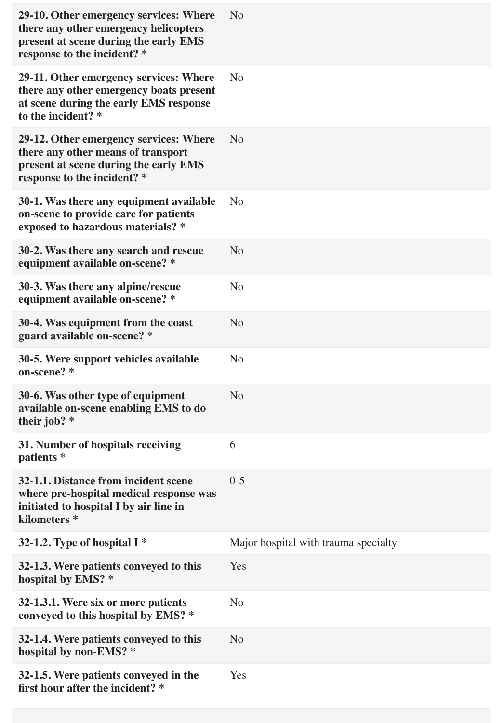| 29-10. Other emergency services: Where<br>there any other emergency helicopters<br>present at scene during the early EMS<br>response to the incident? * | N <sub>o</sub>                       |
|---------------------------------------------------------------------------------------------------------------------------------------------------------|--------------------------------------|
| 29-11. Other emergency services: Where<br>there any other emergency boats present<br>at scene during the early EMS response<br>to the incident? *       | N <sub>o</sub>                       |
| 29-12. Other emergency services: Where<br>there any other means of transport<br>present at scene during the early EMS<br>response to the incident? *    | N <sub>o</sub>                       |
| 30-1. Was there any equipment available<br>on-scene to provide care for patients<br>exposed to hazardous materials? *                                   | N <sub>o</sub>                       |
| 30-2. Was there any search and rescue<br>equipment available on-scene? *                                                                                | N <sub>o</sub>                       |
| 30-3. Was there any alpine/rescue<br>equipment available on-scene? *                                                                                    | N <sub>o</sub>                       |
| 30-4. Was equipment from the coast<br>guard available on-scene? *                                                                                       | N <sub>o</sub>                       |
| 30-5. Were support vehicles available<br>on-scene? *                                                                                                    | N <sub>o</sub>                       |
| 30-6. Was other type of equipment<br>available on-scene enabling EMS to do<br>their job? $*$                                                            | N <sub>o</sub>                       |
| 31. Number of hospitals receiving<br>patients *                                                                                                         | 6                                    |
| 32-1.1. Distance from incident scene<br>where pre-hospital medical response was<br>initiated to hospital I by air line in<br>kilometers*                | $0 - 5$                              |
| 32-1.2. Type of hospital $I^*$                                                                                                                          | Major hospital with trauma specialty |
| 32-1.3. Were patients conveyed to this<br>hospital by EMS? *                                                                                            | Yes                                  |
| 32-1.3.1. Were six or more patients<br>conveyed to this hospital by EMS? *                                                                              | N <sub>o</sub>                       |
| 32-1.4. Were patients conveyed to this<br>hospital by non-EMS? *                                                                                        | N <sub>o</sub>                       |
| 32-1.5. Were patients conveyed in the<br>first hour after the incident? *                                                                               | Yes                                  |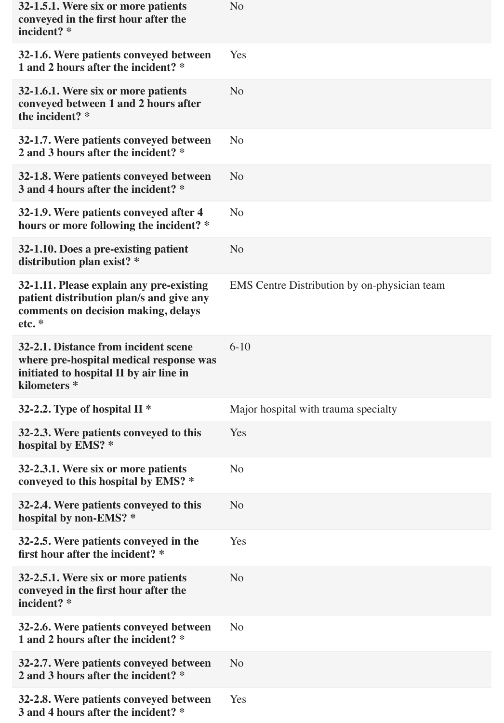| 32-1.5.1. Were six or more patients<br>conveyed in the first hour after the<br>incident? *                                                | N <sub>o</sub>                               |
|-------------------------------------------------------------------------------------------------------------------------------------------|----------------------------------------------|
| 32-1.6. Were patients conveyed between<br>1 and 2 hours after the incident? *                                                             | Yes                                          |
| 32-1.6.1. Were six or more patients<br>conveyed between 1 and 2 hours after<br>the incident? *                                            | N <sub>o</sub>                               |
| 32-1.7. Were patients conveyed between<br>2 and 3 hours after the incident? *                                                             | N <sub>o</sub>                               |
| 32-1.8. Were patients conveyed between<br>3 and 4 hours after the incident? *                                                             | N <sub>o</sub>                               |
| 32-1.9. Were patients conveyed after 4<br>hours or more following the incident? *                                                         | N <sub>o</sub>                               |
| 32-1.10. Does a pre-existing patient<br>distribution plan exist? *                                                                        | N <sub>o</sub>                               |
| 32-1.11. Please explain any pre-existing<br>patient distribution plan/s and give any<br>comments on decision making, delays<br>etc.       | EMS Centre Distribution by on-physician team |
| 32-2.1. Distance from incident scene<br>where pre-hospital medical response was<br>initiated to hospital II by air line in<br>kilometers* | $6-10$                                       |
| 32-2.2. Type of hospital II $*$                                                                                                           | Major hospital with trauma specialty         |
| 32-2.3. Were patients conveyed to this<br>hospital by EMS? *                                                                              | Yes                                          |
| 32-2.3.1. Were six or more patients<br>conveyed to this hospital by EMS? *                                                                | N <sub>o</sub>                               |
| 32-2.4. Were patients conveyed to this<br>hospital by non-EMS? *                                                                          | N <sub>o</sub>                               |
| 32-2.5. Were patients conveyed in the<br>first hour after the incident? *                                                                 | Yes                                          |
| 32-2.5.1. Were six or more patients<br>conveyed in the first hour after the<br>incident? *                                                | N <sub>o</sub>                               |
| 32-2.6. Were patients conveyed between<br>1 and 2 hours after the incident? *                                                             | N <sub>o</sub>                               |
| 32-2.7. Were patients conveyed between<br>2 and 3 hours after the incident? *                                                             | N <sub>o</sub>                               |
| 32-2.8. Were patients conveyed between<br>3 and 4 hours after the incident? *                                                             | Yes                                          |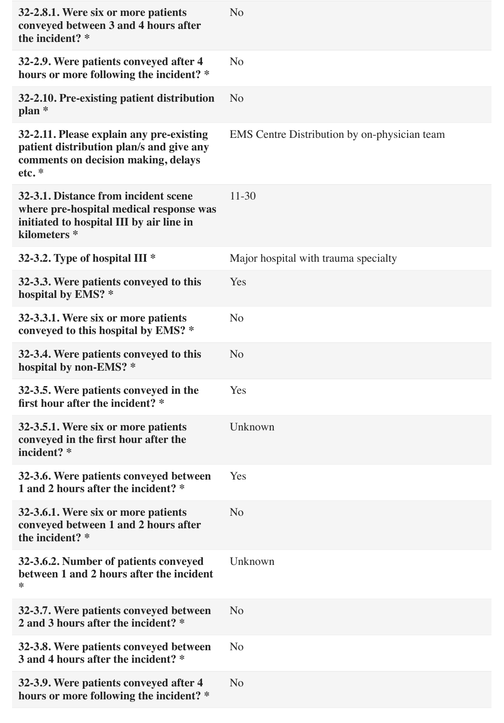| 32-2.8.1. Were six or more patients<br>conveyed between 3 and 4 hours after<br>the incident? *                                                         | N <sub>o</sub>                                      |
|--------------------------------------------------------------------------------------------------------------------------------------------------------|-----------------------------------------------------|
| 32-2.9. Were patients conveyed after 4<br>hours or more following the incident? *                                                                      | N <sub>o</sub>                                      |
| 32-2.10. Pre-existing patient distribution<br>$plan *$                                                                                                 | N <sub>o</sub>                                      |
| 32-2.11. Please explain any pre-existing<br>patient distribution plan/s and give any<br>comments on decision making, delays<br>etc.*                   | <b>EMS</b> Centre Distribution by on-physician team |
| 32-3.1. Distance from incident scene<br>where pre-hospital medical response was<br>initiated to hospital III by air line in<br>kilometers <sup>*</sup> | $11 - 30$                                           |
| 32-3.2. Type of hospital III *                                                                                                                         | Major hospital with trauma specialty                |
| 32-3.3. Were patients conveyed to this<br>hospital by EMS? *                                                                                           | Yes                                                 |
| 32-3.3.1. Were six or more patients<br>conveyed to this hospital by EMS? *                                                                             | No                                                  |
| 32-3.4. Were patients conveyed to this<br>hospital by non-EMS? *                                                                                       | N <sub>o</sub>                                      |
| 32-3.5. Were patients conveyed in the<br>first hour after the incident? *                                                                              | Yes                                                 |
| 32-3.5.1. Were six or more patients<br>conveyed in the first hour after the<br>incident? *                                                             | Unknown                                             |
| 32-3.6. Were patients conveyed between<br>1 and 2 hours after the incident? *                                                                          | Yes                                                 |
| 32-3.6.1. Were six or more patients<br>conveyed between 1 and 2 hours after<br>the incident? *                                                         | N <sub>o</sub>                                      |
| 32-3.6.2. Number of patients conveyed<br>between 1 and 2 hours after the incident<br>*                                                                 | Unknown                                             |
| 32-3.7. Were patients conveyed between<br>2 and 3 hours after the incident? *                                                                          | N <sub>o</sub>                                      |
| 32-3.8. Were patients conveyed between<br>3 and 4 hours after the incident? *                                                                          | N <sub>o</sub>                                      |
| 32-3.9. Were patients conveyed after 4<br>hours or more following the incident? *                                                                      | N <sub>o</sub>                                      |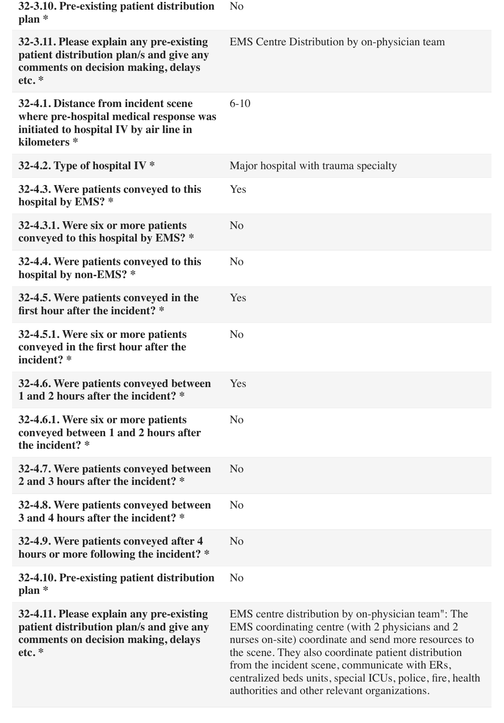| 32-3.10. Pre-existing patient distribution<br>$plan *$                                                                                                | N <sub>o</sub>                                                                                                                                                                                                                                                                                                                                                                           |
|-------------------------------------------------------------------------------------------------------------------------------------------------------|------------------------------------------------------------------------------------------------------------------------------------------------------------------------------------------------------------------------------------------------------------------------------------------------------------------------------------------------------------------------------------------|
| 32-3.11. Please explain any pre-existing<br>patient distribution plan/s and give any<br>comments on decision making, delays<br>etc.*                  | <b>EMS</b> Centre Distribution by on-physician team                                                                                                                                                                                                                                                                                                                                      |
| 32-4.1. Distance from incident scene<br>where pre-hospital medical response was<br>initiated to hospital IV by air line in<br>kilometers <sup>*</sup> | $6 - 10$                                                                                                                                                                                                                                                                                                                                                                                 |
| 32-4.2. Type of hospital IV $*$                                                                                                                       | Major hospital with trauma specialty                                                                                                                                                                                                                                                                                                                                                     |
| 32-4.3. Were patients conveyed to this<br>hospital by EMS? *                                                                                          | Yes                                                                                                                                                                                                                                                                                                                                                                                      |
| 32-4.3.1. Were six or more patients<br>conveyed to this hospital by EMS? *                                                                            | N <sub>o</sub>                                                                                                                                                                                                                                                                                                                                                                           |
| 32-4.4. Were patients conveyed to this<br>hospital by non-EMS? *                                                                                      | N <sub>o</sub>                                                                                                                                                                                                                                                                                                                                                                           |
| 32-4.5. Were patients conveyed in the<br>first hour after the incident? *                                                                             | Yes                                                                                                                                                                                                                                                                                                                                                                                      |
| 32-4.5.1. Were six or more patients<br>conveyed in the first hour after the<br>incident? *                                                            | N <sub>o</sub>                                                                                                                                                                                                                                                                                                                                                                           |
| 32-4.6. Were patients conveyed between<br>1 and 2 hours after the incident? *                                                                         | Yes                                                                                                                                                                                                                                                                                                                                                                                      |
| 32-4.6.1. Were six or more patients<br>conveyed between 1 and 2 hours after<br>the incident? *                                                        | N <sub>o</sub>                                                                                                                                                                                                                                                                                                                                                                           |
| 32-4.7. Were patients conveyed between<br>2 and 3 hours after the incident? *                                                                         | N <sub>o</sub>                                                                                                                                                                                                                                                                                                                                                                           |
| 32-4.8. Were patients conveyed between<br>3 and 4 hours after the incident? *                                                                         | N <sub>o</sub>                                                                                                                                                                                                                                                                                                                                                                           |
| 32-4.9. Were patients conveyed after 4<br>hours or more following the incident? *                                                                     | N <sub>o</sub>                                                                                                                                                                                                                                                                                                                                                                           |
| 32-4.10. Pre-existing patient distribution<br>$plan *$                                                                                                | N <sub>o</sub>                                                                                                                                                                                                                                                                                                                                                                           |
| 32-4.11. Please explain any pre-existing<br>patient distribution plan/s and give any<br>comments on decision making, delays<br>etc.*                  | EMS centre distribution by on-physician team": The<br>EMS coordinating centre (with 2 physicians and 2<br>nurses on-site) coordinate and send more resources to<br>the scene. They also coordinate patient distribution<br>from the incident scene, communicate with ERs,<br>centralized beds units, special ICUs, police, fire, health<br>authorities and other relevant organizations. |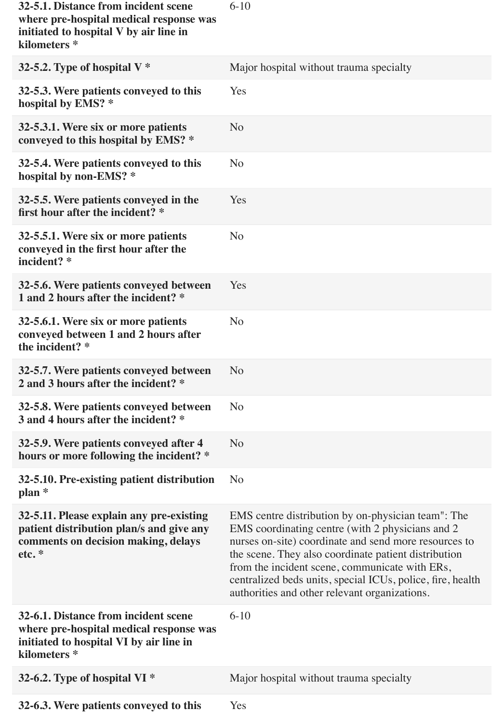| 32-5.1. Distance from incident scene<br>where pre-hospital medical response was<br>initiated to hospital V by air line in<br>kilometers <sup>*</sup>  | $6-10$                                                                                                                                                                                                                                                                                                                                                                                   |
|-------------------------------------------------------------------------------------------------------------------------------------------------------|------------------------------------------------------------------------------------------------------------------------------------------------------------------------------------------------------------------------------------------------------------------------------------------------------------------------------------------------------------------------------------------|
| 32-5.2. Type of hospital $V^*$                                                                                                                        | Major hospital without trauma specialty                                                                                                                                                                                                                                                                                                                                                  |
| 32-5.3. Were patients conveyed to this<br>hospital by EMS? *                                                                                          | Yes                                                                                                                                                                                                                                                                                                                                                                                      |
| 32-5.3.1. Were six or more patients<br>conveyed to this hospital by EMS? *                                                                            | N <sub>o</sub>                                                                                                                                                                                                                                                                                                                                                                           |
| 32-5.4. Were patients conveyed to this<br>hospital by non-EMS? *                                                                                      | N <sub>o</sub>                                                                                                                                                                                                                                                                                                                                                                           |
| 32-5.5. Were patients conveyed in the<br>first hour after the incident? *                                                                             | Yes                                                                                                                                                                                                                                                                                                                                                                                      |
| 32-5.5.1. Were six or more patients<br>conveyed in the first hour after the<br>incident? *                                                            | N <sub>o</sub>                                                                                                                                                                                                                                                                                                                                                                           |
| 32-5.6. Were patients conveyed between<br>1 and 2 hours after the incident? *                                                                         | Yes                                                                                                                                                                                                                                                                                                                                                                                      |
| 32-5.6.1. Were six or more patients<br>conveyed between 1 and 2 hours after<br>the incident? *                                                        | N <sub>o</sub>                                                                                                                                                                                                                                                                                                                                                                           |
| 32-5.7. Were patients conveyed between<br>2 and 3 hours after the incident? *                                                                         | N <sub>o</sub>                                                                                                                                                                                                                                                                                                                                                                           |
| 32-5.8. Were patients conveyed between<br>3 and 4 hours after the incident? *                                                                         | N <sub>o</sub>                                                                                                                                                                                                                                                                                                                                                                           |
| 32-5.9. Were patients conveyed after 4<br>hours or more following the incident? *                                                                     | N <sub>o</sub>                                                                                                                                                                                                                                                                                                                                                                           |
| 32-5.10. Pre-existing patient distribution<br>$plan *$                                                                                                | N <sub>o</sub>                                                                                                                                                                                                                                                                                                                                                                           |
| 32-5.11. Please explain any pre-existing<br>patient distribution plan/s and give any<br>comments on decision making, delays<br>etc.*                  | EMS centre distribution by on-physician team": The<br>EMS coordinating centre (with 2 physicians and 2<br>nurses on-site) coordinate and send more resources to<br>the scene. They also coordinate patient distribution<br>from the incident scene, communicate with ERs,<br>centralized beds units, special ICUs, police, fire, health<br>authorities and other relevant organizations. |
| 32-6.1. Distance from incident scene<br>where pre-hospital medical response was<br>initiated to hospital VI by air line in<br>kilometers <sup>*</sup> | $6-10$                                                                                                                                                                                                                                                                                                                                                                                   |
| 32-6.2. Type of hospital VI *                                                                                                                         | Major hospital without trauma specialty                                                                                                                                                                                                                                                                                                                                                  |
| 32-6.3. Were patients conveyed to this                                                                                                                | Yes                                                                                                                                                                                                                                                                                                                                                                                      |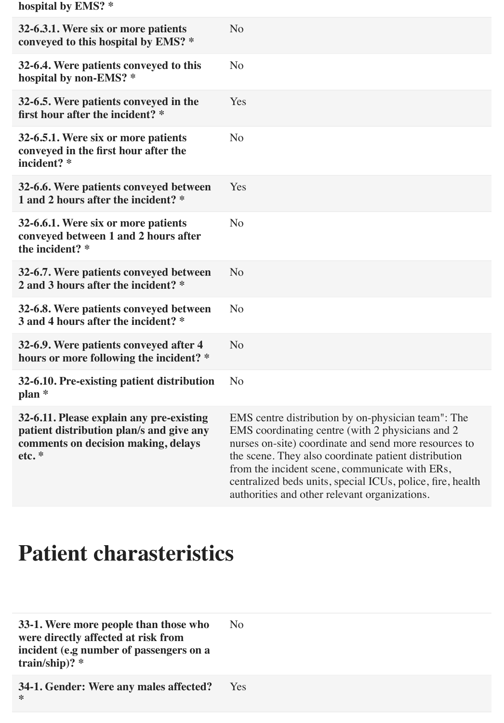**hospital by EMS? \***

| 32-6.3.1. Were six or more patients<br>conveyed to this hospital by EMS? *                                                          | N <sub>o</sub>                                                                                                                                                                                                                                                                                                                                                                           |
|-------------------------------------------------------------------------------------------------------------------------------------|------------------------------------------------------------------------------------------------------------------------------------------------------------------------------------------------------------------------------------------------------------------------------------------------------------------------------------------------------------------------------------------|
| 32-6.4. Were patients conveyed to this<br>hospital by non-EMS? *                                                                    | N <sub>o</sub>                                                                                                                                                                                                                                                                                                                                                                           |
| 32-6.5. Were patients conveyed in the<br>first hour after the incident? *                                                           | Yes                                                                                                                                                                                                                                                                                                                                                                                      |
| 32-6.5.1. Were six or more patients<br>conveyed in the first hour after the<br>incident? *                                          | N <sub>o</sub>                                                                                                                                                                                                                                                                                                                                                                           |
| 32-6.6. Were patients conveyed between<br>1 and 2 hours after the incident? *                                                       | Yes                                                                                                                                                                                                                                                                                                                                                                                      |
| 32-6.6.1. Were six or more patients<br>conveyed between 1 and 2 hours after<br>the incident? *                                      | N <sub>o</sub>                                                                                                                                                                                                                                                                                                                                                                           |
| 32-6.7. Were patients conveyed between<br>2 and 3 hours after the incident? *                                                       | N <sub>o</sub>                                                                                                                                                                                                                                                                                                                                                                           |
| 32-6.8. Were patients conveyed between<br>3 and 4 hours after the incident? *                                                       | N <sub>o</sub>                                                                                                                                                                                                                                                                                                                                                                           |
| 32-6.9. Were patients conveyed after 4<br>hours or more following the incident? *                                                   | N <sub>o</sub>                                                                                                                                                                                                                                                                                                                                                                           |
| 32-6.10. Pre-existing patient distribution<br>$plan *$                                                                              | N <sub>o</sub>                                                                                                                                                                                                                                                                                                                                                                           |
| 32-6.11. Please explain any pre-existing<br>patient distribution plan/s and give any<br>comments on decision making, delays<br>etc. | EMS centre distribution by on-physician team": The<br>EMS coordinating centre (with 2 physicians and 2<br>nurses on-site) coordinate and send more resources to<br>the scene. They also coordinate patient distribution<br>from the incident scene, communicate with ERs,<br>centralized beds units, special ICUs, police, fire, health<br>authorities and other relevant organizations. |

#### **Patient charasteristics**

**33-1. Were more people than those who were directly affected at risk from incident (e.g number of passengers on a train/ship)? \*** No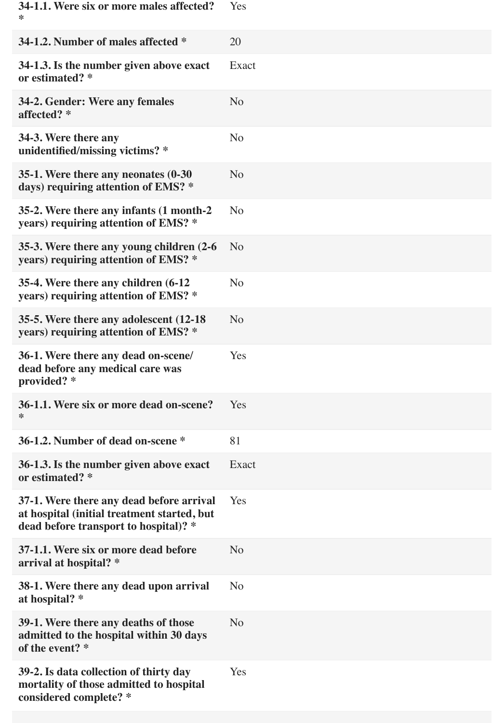| 34-1.1. Were six or more males affected?<br>∗                                                                                    | Yes            |
|----------------------------------------------------------------------------------------------------------------------------------|----------------|
| 34-1.2. Number of males affected *                                                                                               | 20             |
| 34-1.3. Is the number given above exact<br>or estimated? *                                                                       | Exact          |
| 34-2. Gender: Were any females<br>affected? *                                                                                    | N <sub>o</sub> |
| 34-3. Were there any<br>unidentified/missing victims? *                                                                          | N <sub>o</sub> |
| 35-1. Were there any neonates (0-30)<br>days) requiring attention of EMS? *                                                      | N <sub>o</sub> |
| 35-2. Were there any infants (1 month-2)<br>years) requiring attention of EMS? *                                                 | N <sub>o</sub> |
| 35-3. Were there any young children (2-6)<br>years) requiring attention of EMS? *                                                | N <sub>o</sub> |
| 35-4. Were there any children (6-12)<br>years) requiring attention of EMS? *                                                     | N <sub>o</sub> |
| 35-5. Were there any adolescent (12-18)<br>years) requiring attention of EMS? *                                                  | N <sub>o</sub> |
| 36-1. Were there any dead on-scene/<br>dead before any medical care was<br>provided? *                                           | Yes            |
| 36-1.1. Were six or more dead on-scene?<br>⋇                                                                                     | Yes            |
| 36-1.2. Number of dead on-scene *                                                                                                | 81             |
| 36-1.3. Is the number given above exact<br>or estimated? *                                                                       | Exact          |
| 37-1. Were there any dead before arrival<br>at hospital (initial treatment started, but<br>dead before transport to hospital)? * | Yes            |
| 37-1.1. Were six or more dead before<br>arrival at hospital? *                                                                   | N <sub>o</sub> |
| 38-1. Were there any dead upon arrival<br>at hospital? *                                                                         | N <sub>o</sub> |
| 39-1. Were there any deaths of those<br>admitted to the hospital within 30 days<br>of the event? *                               | N <sub>o</sub> |
| 39-2. Is data collection of thirty day<br>mortality of those admitted to hospital<br>considered complete? *                      | Yes            |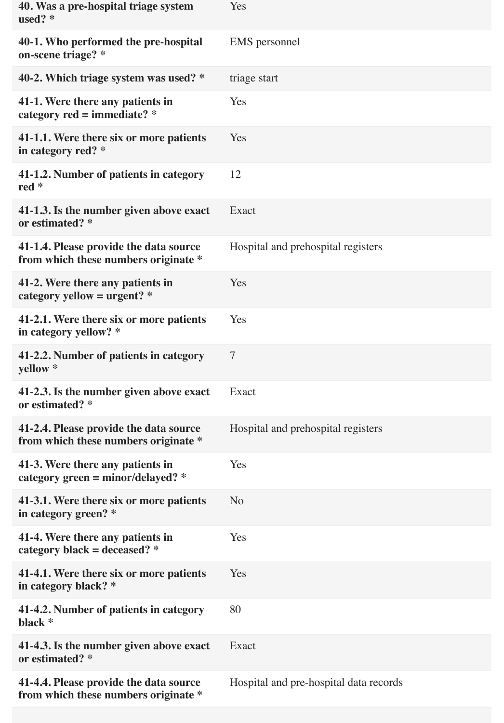| 40. Was a pre-hospital triage system<br>used? $*$                              | Yes                                    |
|--------------------------------------------------------------------------------|----------------------------------------|
| 40-1. Who performed the pre-hospital<br>on-scene triage? *                     | EMS personnel                          |
| 40-2. Which triage system was used? *                                          | triage start                           |
| 41-1. Were there any patients in<br>category $red = immediate?$ *              | Yes                                    |
| 41-1.1. Were there six or more patients<br>in category red? *                  | Yes                                    |
| 41-1.2. Number of patients in category<br>red $*$                              | 12                                     |
| 41-1.3. Is the number given above exact<br>or estimated? *                     | Exact                                  |
| 41-1.4. Please provide the data source<br>from which these numbers originate * | Hospital and prehospital registers     |
| 41-2. Were there any patients in<br>category yellow = $urgent?$ *              | Yes                                    |
| 41-2.1. Were there six or more patients<br>in category yellow? *               | Yes                                    |
| 41-2.2. Number of patients in category<br>yellow *                             | $\overline{7}$                         |
| 41-2.3. Is the number given above exact<br>or estimated? *                     | Exact                                  |
| 41-2.4. Please provide the data source<br>from which these numbers originate * | Hospital and prehospital registers     |
| 41-3. Were there any patients in<br>category green = $minor/delayed$ ? *       | Yes                                    |
| 41-3.1. Were there six or more patients<br>in category green? *                | N <sub>o</sub>                         |
| 41-4. Were there any patients in<br>category black = deceased? $*$             | Yes                                    |
| 41-4.1. Were there six or more patients<br>in category black? *                | Yes                                    |
| 41-4.2. Number of patients in category<br>black *                              | 80                                     |
| 41-4.3. Is the number given above exact<br>or estimated? *                     | <b>Exact</b>                           |
| 41-4.4. Please provide the data source<br>from which these numbers originate * | Hospital and pre-hospital data records |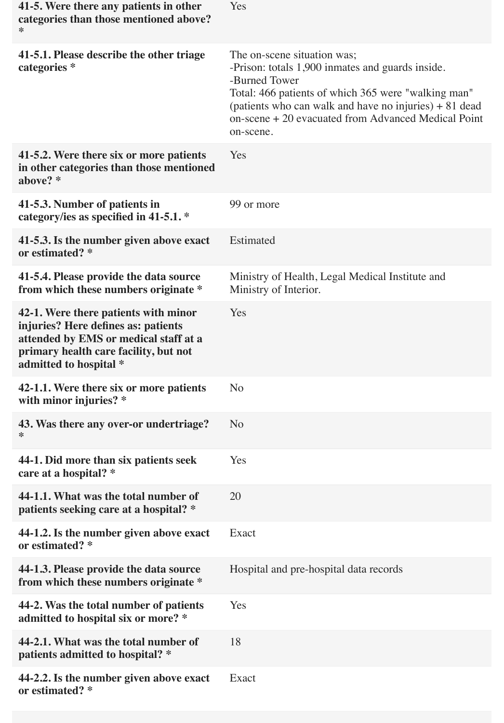| 41-5. Were there any patients in other<br>categories than those mentioned above?<br>*                                                                                                   | Yes                                                                                                                                                                                                                                                                                    |
|-----------------------------------------------------------------------------------------------------------------------------------------------------------------------------------------|----------------------------------------------------------------------------------------------------------------------------------------------------------------------------------------------------------------------------------------------------------------------------------------|
| 41-5.1. Please describe the other triage<br>categories *                                                                                                                                | The on-scene situation was;<br>-Prison: totals 1,900 inmates and guards inside.<br>-Burned Tower<br>Total: 466 patients of which 365 were "walking man"<br>(patients who can walk and have no injuries) $+81$ dead<br>on-scene + 20 evacuated from Advanced Medical Point<br>on-scene. |
| 41-5.2. Were there six or more patients<br>in other categories than those mentioned<br>above? *                                                                                         | Yes                                                                                                                                                                                                                                                                                    |
| 41-5.3. Number of patients in<br>category/ies as specified in 41-5.1. *                                                                                                                 | 99 or more                                                                                                                                                                                                                                                                             |
| 41-5.3. Is the number given above exact<br>or estimated? *                                                                                                                              | Estimated                                                                                                                                                                                                                                                                              |
| 41-5.4. Please provide the data source<br>from which these numbers originate *                                                                                                          | Ministry of Health, Legal Medical Institute and<br>Ministry of Interior.                                                                                                                                                                                                               |
| 42-1. Were there patients with minor<br>injuries? Here defines as: patients<br>attended by EMS or medical staff at a<br>primary health care facility, but not<br>admitted to hospital * | Yes                                                                                                                                                                                                                                                                                    |
| 42-1.1. Were there six or more patients<br>with minor injuries? *                                                                                                                       | N <sub>o</sub>                                                                                                                                                                                                                                                                         |
| 43. Was there any over-or undertriage?<br>⋇                                                                                                                                             | N <sub>o</sub>                                                                                                                                                                                                                                                                         |
| 44-1. Did more than six patients seek<br>care at a hospital? *                                                                                                                          | Yes                                                                                                                                                                                                                                                                                    |
| 44-1.1. What was the total number of<br>patients seeking care at a hospital? *                                                                                                          | 20                                                                                                                                                                                                                                                                                     |
| 44-1.2. Is the number given above exact<br>or estimated? *                                                                                                                              | Exact                                                                                                                                                                                                                                                                                  |
| 44-1.3. Please provide the data source<br>from which these numbers originate *                                                                                                          | Hospital and pre-hospital data records                                                                                                                                                                                                                                                 |
| 44-2. Was the total number of patients<br>admitted to hospital six or more? *                                                                                                           | Yes                                                                                                                                                                                                                                                                                    |
| 44-2.1. What was the total number of<br>patients admitted to hospital? *                                                                                                                | 18                                                                                                                                                                                                                                                                                     |
| 44-2.2. Is the number given above exact<br>or estimated? *                                                                                                                              | Exact                                                                                                                                                                                                                                                                                  |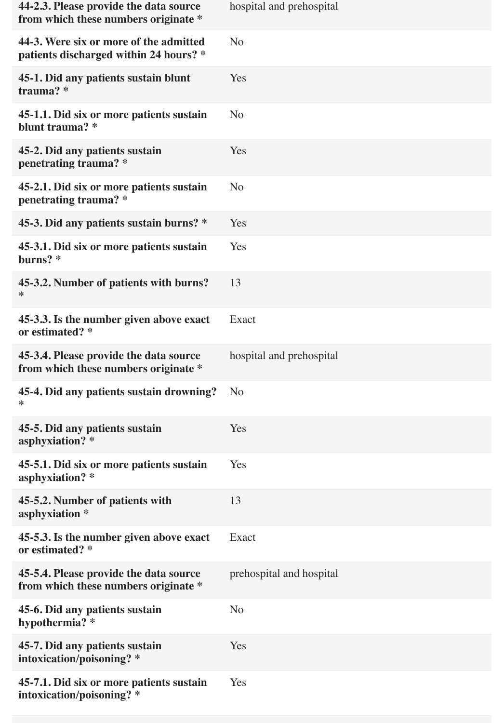| 44-2.3. Please provide the data source<br>from which these numbers originate *   | hospital and prehospital |
|----------------------------------------------------------------------------------|--------------------------|
| 44-3. Were six or more of the admitted<br>patients discharged within 24 hours? * | N <sub>o</sub>           |
| 45-1. Did any patients sustain blunt<br>trauma? *                                | Yes                      |
| 45-1.1. Did six or more patients sustain<br>blunt trauma? *                      | N <sub>o</sub>           |
| 45-2. Did any patients sustain<br>penetrating trauma? *                          | Yes                      |
| 45-2.1. Did six or more patients sustain<br>penetrating trauma? *                | N <sub>o</sub>           |
| 45-3. Did any patients sustain burns? *                                          | Yes                      |
| 45-3.1. Did six or more patients sustain<br>burns? *                             | Yes                      |
| 45-3.2. Number of patients with burns?<br>⋇                                      | 13                       |
| 45-3.3. Is the number given above exact<br>or estimated? *                       | Exact                    |
| 45-3.4. Please provide the data source<br>from which these numbers originate *   | hospital and prehospital |
| 45-4. Did any patients sustain drowning?<br>∗                                    | N <sub>o</sub>           |
| 45-5. Did any patients sustain<br>asphyxiation? *                                | Yes                      |
| 45-5.1. Did six or more patients sustain<br>asphyxiation? *                      | Yes                      |
| 45-5.2. Number of patients with<br>asphyxiation *                                | 13                       |
| 45-5.3. Is the number given above exact<br>or estimated? *                       | Exact                    |
| 45-5.4. Please provide the data source<br>from which these numbers originate *   | prehospital and hospital |
| 45-6. Did any patients sustain<br>hypothermia? *                                 | N <sub>o</sub>           |
| 45-7. Did any patients sustain<br>intoxication/poisoning? *                      | Yes                      |
| 45-7.1. Did six or more patients sustain<br>intoxication/poisoning? *            | Yes                      |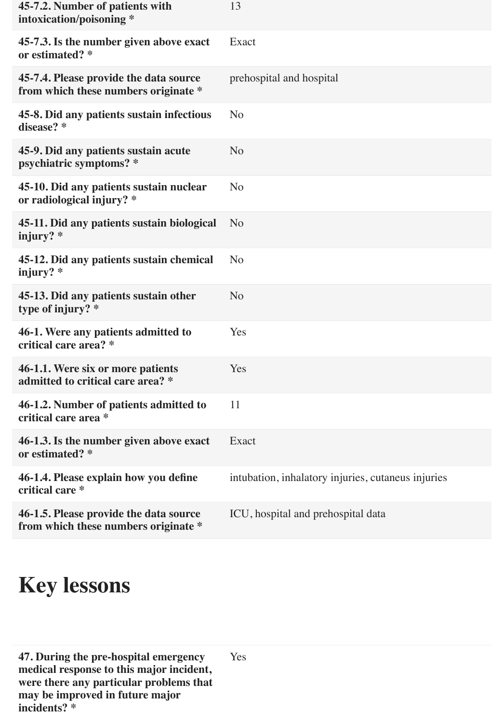| 45-7.2. Number of patients with<br>intoxication/poisoning *                    | 13                                                 |
|--------------------------------------------------------------------------------|----------------------------------------------------|
| 45-7.3. Is the number given above exact<br>or estimated? *                     | Exact                                              |
| 45-7.4. Please provide the data source<br>from which these numbers originate * | prehospital and hospital                           |
| 45-8. Did any patients sustain infectious<br>disease? *                        | N <sub>o</sub>                                     |
| 45-9. Did any patients sustain acute<br>psychiatric symptoms? *                | N <sub>o</sub>                                     |
| 45-10. Did any patients sustain nuclear<br>or radiological injury? *           | N <sub>o</sub>                                     |
| 45-11. Did any patients sustain biological<br>injury? $*$                      | N <sub>o</sub>                                     |
| 45-12. Did any patients sustain chemical<br>injury? $*$                        | N <sub>o</sub>                                     |
| 45-13. Did any patients sustain other<br>type of injury? *                     | N <sub>o</sub>                                     |
| 46-1. Were any patients admitted to<br>critical care area? *                   | Yes                                                |
| 46-1.1. Were six or more patients<br>admitted to critical care area? *         | Yes                                                |
| 46-1.2. Number of patients admitted to<br>critical care area *                 | 11                                                 |
| 46-1.3. Is the number given above exact<br>or estimated? *                     | Exact                                              |
| 46-1.4. Please explain how you define<br>critical care *                       | intubation, inhalatory injuries, cutaneus injuries |
| 46-1.5. Please provide the data source<br>from which these numbers originate * | ICU, hospital and prehospital data                 |

## **Key lessons**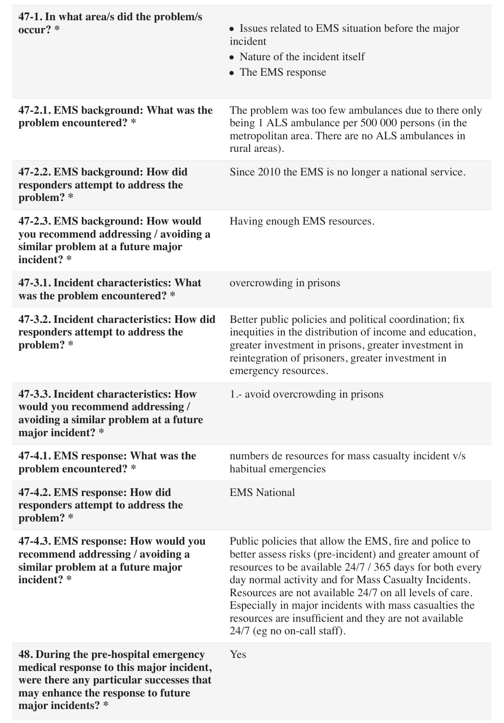| 47-1. In what area/s did the problem/s<br>$occur?$ $*$                                                                                                                                    | • Issues related to EMS situation before the major<br>incident<br>• Nature of the incident itself<br>• The EMS response                                                                                                                                                                                                                                                                                                                             |
|-------------------------------------------------------------------------------------------------------------------------------------------------------------------------------------------|-----------------------------------------------------------------------------------------------------------------------------------------------------------------------------------------------------------------------------------------------------------------------------------------------------------------------------------------------------------------------------------------------------------------------------------------------------|
| 47-2.1. EMS background: What was the<br>problem encountered? *                                                                                                                            | The problem was too few ambulances due to there only<br>being 1 ALS ambulance per 500 000 persons (in the<br>metropolitan area. There are no ALS ambulances in<br>rural areas).                                                                                                                                                                                                                                                                     |
| 47-2.2. EMS background: How did<br>responders attempt to address the<br>problem? *                                                                                                        | Since 2010 the EMS is no longer a national service.                                                                                                                                                                                                                                                                                                                                                                                                 |
| 47-2.3. EMS background: How would<br>you recommend addressing / avoiding a<br>similar problem at a future major<br>incident? *                                                            | Having enough EMS resources.                                                                                                                                                                                                                                                                                                                                                                                                                        |
| 47-3.1. Incident characteristics: What<br>was the problem encountered? *                                                                                                                  | overcrowding in prisons                                                                                                                                                                                                                                                                                                                                                                                                                             |
| 47-3.2. Incident characteristics: How did<br>responders attempt to address the<br>problem? *                                                                                              | Better public policies and political coordination; fix<br>inequities in the distribution of income and education,<br>greater investment in prisons, greater investment in<br>reintegration of prisoners, greater investment in<br>emergency resources.                                                                                                                                                                                              |
| 47-3.3. Incident characteristics: How<br>would you recommend addressing /<br>avoiding a similar problem at a future<br>major incident? *                                                  | 1.- avoid overcrowding in prisons                                                                                                                                                                                                                                                                                                                                                                                                                   |
| 47-4.1. EMS response: What was the<br>problem encountered? *                                                                                                                              | numbers de resources for mass casualty incident v/s<br>habitual emergencies                                                                                                                                                                                                                                                                                                                                                                         |
| 47-4.2. EMS response: How did<br>responders attempt to address the<br>problem? *                                                                                                          | <b>EMS</b> National                                                                                                                                                                                                                                                                                                                                                                                                                                 |
| 47-4.3. EMS response: How would you<br>recommend addressing / avoiding a<br>similar problem at a future major<br>incident? *                                                              | Public policies that allow the EMS, fire and police to<br>better assess risks (pre-incident) and greater amount of<br>resources to be available 24/7 / 365 days for both every<br>day normal activity and for Mass Casualty Incidents.<br>Resources are not available 24/7 on all levels of care.<br>Especially in major incidents with mass casualties the<br>resources are insufficient and they are not available<br>24/7 (eg no on-call staff). |
| 48. During the pre-hospital emergency<br>medical response to this major incident,<br>were there any particular successes that<br>may enhance the response to future<br>major incidents? * | Yes                                                                                                                                                                                                                                                                                                                                                                                                                                                 |